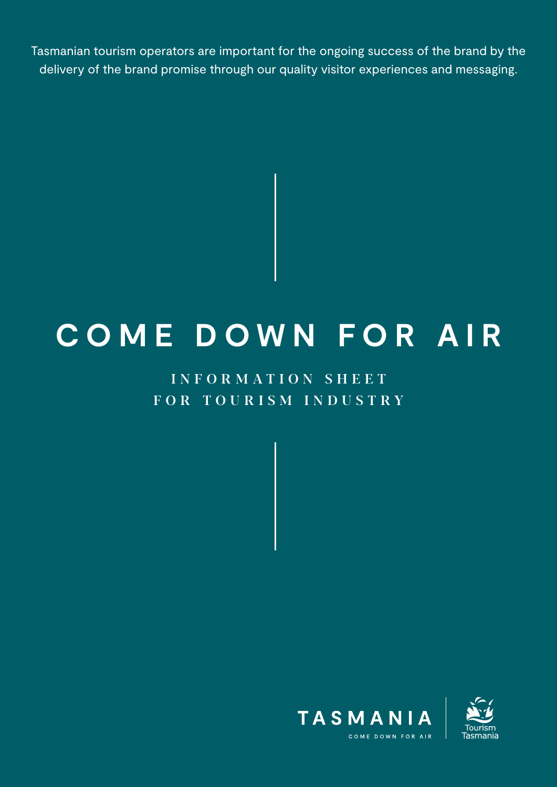Tasmanian tourism operators are important for the ongoing success of the brand by the delivery of the brand promise through our quality visitor experiences and messaging.

# **C O M E D O W N F O R A I R**

# INFORMATION SHEET FOR TOURISM INDUSTRY